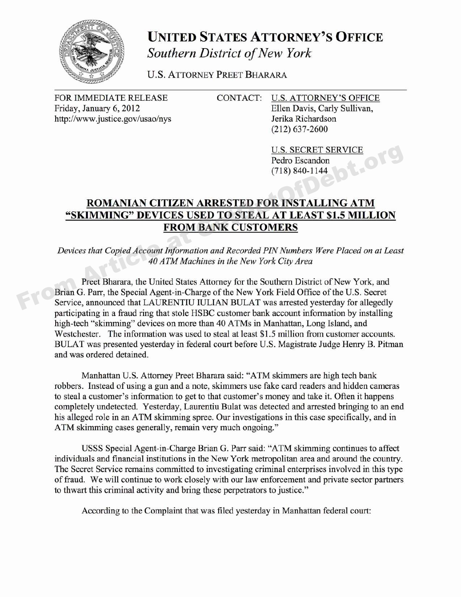

## **UNITED STATES ATTORNEY'S OFFICE Southern District of New York**

U.S. ATTORNEY PREET BHARARA

Friday, January 6, 2012 **Ellen Davis, Carly Sullivan**, http://www.justice.gov/usao/nys Jerika Richardson

## FOR IMMEDIATE RELEASE CONTACT: U.S. ATTORNEY'S OFFICE

(212) 637-2600

U.S. SECRET SERVICE<br>Pedro Escandon<br>(718) 840-1144 Pedro Escandon (718) 840-1144

## **ROMANIAN CITIZEN ARRESTED FOR INSTALLING ATM "SKIMMING" DEVICES USED TO STEAL AT LEAST \$1.5 MILLION FROM BANK CUSTOMERS** U.S. SECRET SERVICE<br>
Pedro Escandon<br>
(718) 840-1144<br>
SKIMMING" DEVICES USED TO STEAL AT LEAST \$1.5 MILLION<br>
FROM BANK CUSTOMERS<br>
Devices that Copied Account Information and Recorded PIN Numbers Were Placed on at Least<br>
Pre

Devices that Copied Account Information and Recorded PIN Numbers Were Placed on at Least 40 ATM Machines in the New York City Area

Preet Bharara, the United States Attorney for the Southern District of New York, and Brian G. Parr, the Special Agent-in-Charge of the New York Field Office of the U.S. Secret Service, announced that LAURENTIU IULIAN BULAT was arrested yesterday for allegedly participating in a fraud ring that stole HSBC customer bank account information by installing high-tech "skimming" devices on more than 40 ATMs in Manhattan, Long Island, and Westchester. The information was used to steal at least \$1.5 million from customer accounts. BULAT was presented yesterday in federal court before U.S. Magistrate Judge Henry B. Pitman and was ordered detained.

Manhattan U.S. Attorney Preet Bharara said: "ATM skimmers are high tech bank robbers. Instead of using a gun and a note, skimmers use fake card readers and hidden cameras to steal a customer's information to get to that customer's money and take it. Often it happens completely undetected. Yesterday, Laurentiu Bulat was detected and arrested bringing to an end his alleged role in an ATM skimming spree. Our investigations in this case specifically, and in ATM skimming cases generally, remain very much ongoing."

USSS Special Agent-in-Charge Brian G. Parr said: "ATM skimming continues to affect individuals and financial institutions in the New York metropolitan area and around the country. The Secret Service remains committed to investigating criminal enterprises involved in this type of fraud. We will continue to work closely with our law enforcement and private sector partners to thwart this criminal activity and bring these perpetrators to justice."

According to the Complaint that was filed yesterday in Manhattan federal court: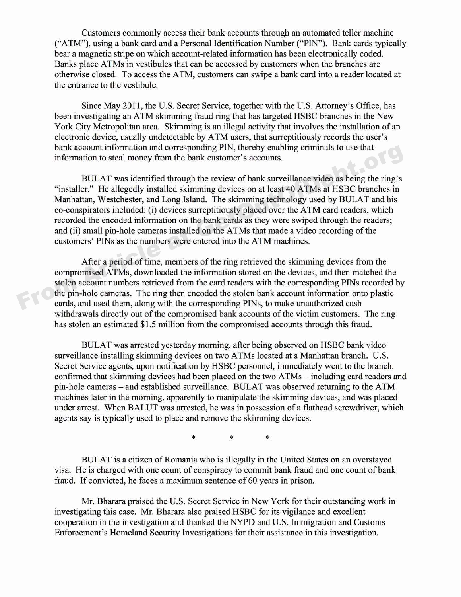Customers commonly access their bank accounts through an automated teller machine ("ATM"), using a bank card and a Personal Identification Number ("PIN"). Bank cards typically bear a magnetic stripe on which account-related information has been electronically coded. Banks place ATMs in vestibules that can be accessed by customers when the branches are otherwise closed. To access the ATM, customers can swipe a bank card into a reader located at the entrance to the vestibule.

Since May 2011, the U.S. Secret Service, together with the U.S. Attorney's Office, has been investigating an ATM skimming fraud ring that has targeted HSBC branches in the New York City Metropolitan area. Skimming is an illegal activity that involves the installation of an electronic device, usually undetectable by ATM users, that surreptitiously records the user's bank account information and corresponding PIN, thereby enabling criminals to use that information to steal money from the bank customer's accounts.

BULAT was identified through the review of bank surveillance video as being the ring's "installer." He allegedly installed skimming devices on at least 40 ATMs at HSBC branches in Manhattan, Westchester, and Long Island. The skimming technology used by BULAT and his co-conspirators included: (i) devices surreptitiously placed over the ATM card readers, which recorded the encoded information on the bank cards as they were swiped through the readers; and (ii) small pin-hole cameras installed on the ATMs that made a video recording of the customers' PINs as the numbers were entered into the ATM machines. bank account information and corresponding PIN, thereby enabling criminals to use that<br>information to steal money from the bank customer's accounts.<br>BULAT was identified through the review of bank surveillance video as bei

After a period of time, members of the ring retrieved the skimming devices from the compromised ATMs, downloaded the information stored on the devices, and then matched the stolen account numbers retrieved from the card readers with the corresponding PINs recorded by the pin-hole cameras. The ring then encoded the stolen bank account information onto plastic cards, and used them, along with the corresponding PINs, to make unauthorized cash withdrawals directly out of the compromised bank accounts of the victim customers. The ring has stolen an estimated \$1.5 million from the compromised accounts through this fraud.

BULAT was arrested yesterday morning, after being observed on HSBC bank video surveillance installing skimming devices on two ATMs located at a Manhattan branch. U.S. Secret Service agents, upon notification by HSBC personnel, immediately went to the branch, confirmed that skimming devices had been placed on the two ATMs — including card readers and pin-hole cameras — and established surveillance. BULAT was observed returning to the ATM machines later in the morning, apparently to manipulate the skimming devices, and was placed under arrest. When BALUT was arrested, he was in possession of a flathead screwdriver, which agents say is typically used to place and remove the skimming devices.

> $\ast$  $\ast$ \*

BULAT is a citizen of Romania who is illegally in the United States on an overstayed visa. He is charged with one count of conspiracy to commit bank fraud and one count of bank fraud. If convicted, he faces a maximum sentence of 60 years in prison.

Mr. Bharara praised the U.S. Secret Service in New York for their outstanding work in investigating this case. Mr. Bharara also praised HSBC for its vigilance and excellent cooperation in the investigation and thanked the NYPD and U.S. Immigration and Customs Enforcement's Homeland Security Investigations for their assistance in this investigation.